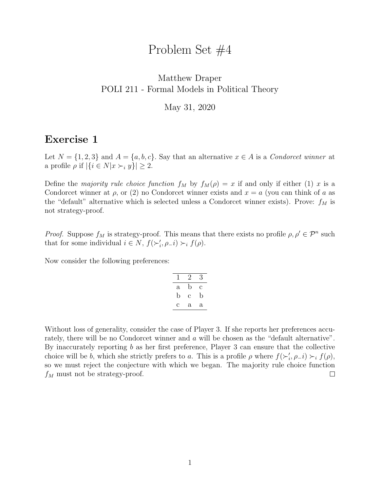# Problem Set #4

#### <span id="page-0-0"></span>Matthew Draper POLI 211 - Formal Models in Political Theory

May 31, 2020

## Exercise 1

Let  $N = \{1, 2, 3\}$  and  $A = \{a, b, c\}$ . Say that an alternative  $x \in A$  is a *Condorcet winner* at a profile  $\rho$  if  $|\{i \in N | x \succ_i y\}| \geq 2$ .

Define the majority rule choice function  $f_M$  by  $f_M(\rho) = x$  if and only if either (1) x is a Condorcet winner at  $\rho$ , or (2) no Condorcet winner exists and  $x = a$  (you can think of a as the "default" alternative which is selected unless a Condorcet winner exists). Prove:  $f_M$  is not strategy-proof.

*Proof.* Suppose  $f_M$  is strategy-proof. This means that there exists no profile  $\rho, \rho' \in \mathcal{P}^n$  such that for some individual  $i \in N$ ,  $f(\succ_i', \rho_i) \succ_i f(\rho)$ .

Now consider the following preferences:

| $\mathsf{l}$ | 2 | 3 |
|--------------|---|---|
| a            | b | с |
| b            | С | b |
| С            | a | a |

Without loss of generality, consider the case of Player 3. If she reports her preferences accurately, there will be no Condorcet winner and a will be chosen as the "default alternative". By inaccurately reporting b as her first preference, Player 3 can ensure that the collective choice will be b, which she strictly prefers to a. This is a profile  $\rho$  where  $f(\succ_i', \rho_i) \succ_i f(\rho)$ , so we must reject the conjecture with which we began. The majority rule choice function  $f_M$  must not be strategy-proof.  $\Box$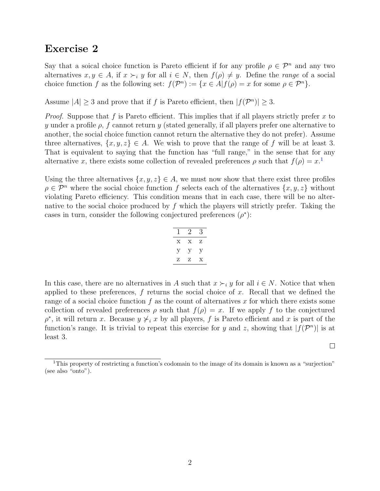### Exercise 2

Say that a soical choice function is Pareto efficient if for any profile  $\rho \in \mathcal{P}^n$  and any two alternatives  $x, y \in A$ , if  $x \succ_i y$  for all  $i \in N$ , then  $f(\rho) \neq y$ . Define the *range* of a social choice function f as the following set:  $f(\mathcal{P}^n) := \{x \in A | f(\rho) = x \text{ for some } \rho \in \mathcal{P}^n\}.$ 

Assume  $|A| \geq 3$  and prove that if f is Pareto efficient, then  $|f(\mathcal{P}^n)| \geq 3$ .

*Proof.* Suppose that f is Pareto efficient. This implies that if all players strictly prefer x to y under a profile  $\rho$ , f cannot return y (stated generally, if all players prefer one alternative to another, the social choice function cannot return the alternative they do not prefer). Assume three alternatives,  $\{x, y, z\} \in A$ . We wish to prove that the range of f will be at least 3. That is equivalent to saying that the function has "full range," in the sense that for any alternative x, there exists some collection of revealed preferences  $\rho$  such that  $f(\rho) = x$ <sup>[1](#page-0-0)</sup>

Using the three alternatives  $\{x, y, z\} \in A$ , we must now show that there exist three profiles  $\rho \in \mathcal{P}^n$  where the social choice function f selects each of the alternatives  $\{x, y, z\}$  without violating Pareto efficiency. This condition means that in each case, there will be no alternative to the social choice produced by  $f$  which the players will strictly prefer. Taking the cases in turn, consider the following conjectured preferences  $(\rho^*)$ :

$$
\begin{array}{c|cc}\n1 & 2 & 3 \\
\hline\nx & x & z \\
y & y & y \\
z & z & x \\
\hline\n\end{array}
$$

In this case, there are no alternatives in A such that  $x \succ_i y$  for all  $i \in N$ . Notice that when applied to these preferences,  $f$  returns the social choice of  $x$ . Recall that we defined the range of a social choice function f as the count of alternatives x for which there exists some collection of revealed preferences  $\rho$  such that  $f(\rho) = x$ . If we apply f to the conjectured  $\rho^*$ , it will return x. Because  $y \nless i x$  by all players, f is Pareto efficient and x is part of the function's range. It is trivial to repeat this exercise for y and z, showing that  $|f(\mathcal{P}^n)|$  is at least 3.

 $\Box$ 

<sup>&</sup>lt;sup>1</sup>This property of restricting a function's codomain to the image of its domain is known as a "surjection" (see also "onto").